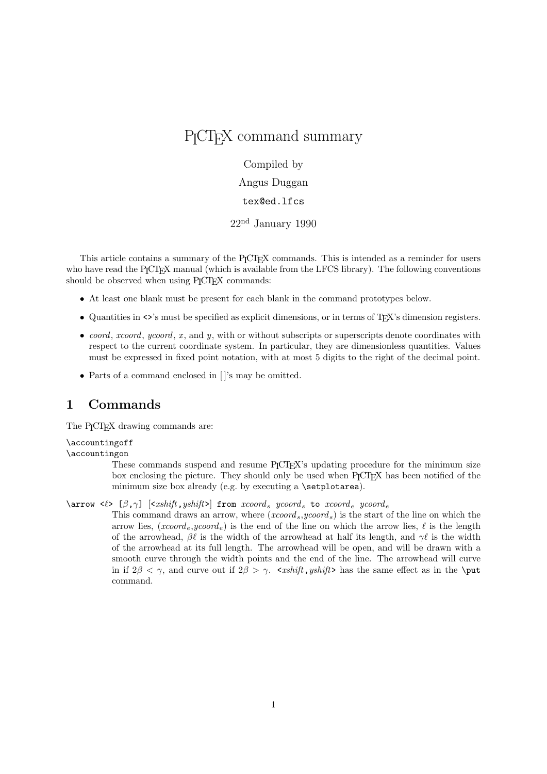# P<sub>I</sub>CT<sub>E</sub>X command summary

Compiled by

Angus Duggan

## tex@ed.lfcs

22nd January 1990

This article contains a summary of the P<sub>ICTEX</sub> commands. This is intended as a reminder for users who have read the P<sub>I</sub>CT<sub>E</sub>X manual (which is available from the LFCS library). The following conventions should be observed when using P<sub>I</sub>CT<sub>E</sub>X commands:

- At least one blank must be present for each blank in the command prototypes below.
- Quantities in <>'s must be specified as explicit dimensions, or in terms of TEX's dimension registers.
- coord, xcoord, ycoord, x, and y, with or without subscripts or superscripts denote coordinates with respect to the current coordinate system. In particular, they are dimensionless quantities. Values must be expressed in fixed point notation, with at most 5 digits to the right of the decimal point.
- Parts of a command enclosed in []'s may be omitted.

## 1 Commands

The P<sub>I</sub>CT<sub>F</sub>X drawing commands are:

\accountingoff

\accountingon

These commands suspend and resume PICT<sub>EX</sub>'s updating procedure for the minimum size box enclosing the picture. They should only be used when PICTEX has been notified of the minimum size box already (e.g. by executing a \setplotarea).

\arrow < $\ell$ > [ $\beta, \gamma$ ] [<xshift,yshift>] from xcoord, ycoord, to xcoord e ycoord e

This command draws an arrow, where  $(xcoord_s, ycoord_s)$  is the start of the line on which the arrow lies,  $(xcoord_e, ycoord_e)$  is the end of the line on which the arrow lies,  $\ell$  is the length of the arrowhead,  $\beta\ell$  is the width of the arrowhead at half its length, and  $\gamma\ell$  is the width of the arrowhead at its full length. The arrowhead will be open, and will be drawn with a smooth curve through the width points and the end of the line. The arrowhead will curve in if  $2\beta < \gamma$ , and curve out if  $2\beta > \gamma$ .  $\langle xshift, yshift \rangle$  has the same effect as in the \put command.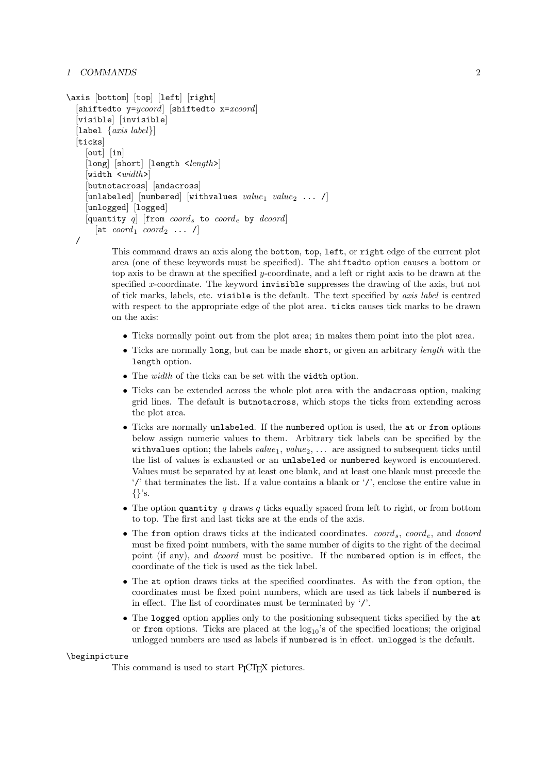```
\axis [bottom] [top] [left] [right]
 [\texttt{shiftedto} y=ycoord] [\texttt{shiftedto} x=xcoord][visible] [invisible]
[label \{axis \ label\}]
[ticks]
   [out] [in][long] [short] [length <length>]
   [width > width >][butnotacross] [andacross]
   [unlabeled] [numbered] [withvalues value_1 value_2 ... /]
   [unlogged] [logged]
   [quantity q] [from coord_s to coord_e by dcoord]
     [\text{at } coord_1 \text{ } coord_2 \text{ } \dots \text{ } I]
```
/

This command draws an axis along the bottom, top, left, or right edge of the current plot area (one of these keywords must be specified). The shiftedto option causes a bottom or top axis to be drawn at the specified y-coordinate, and a left or right axis to be drawn at the specified x-coordinate. The keyword invisible suppresses the drawing of the axis, but not of tick marks, labels, etc. visible is the default. The text specified by axis label is centred with respect to the appropriate edge of the plot area. ticks causes tick marks to be drawn on the axis:

- Ticks normally point out from the plot area; in makes them point into the plot area.
- Ticks are normally long, but can be made short, or given an arbitrary *length* with the length option.
- The width of the ticks can be set with the width option.
- Ticks can be extended across the whole plot area with the andacross option, making grid lines. The default is butnotacross, which stops the ticks from extending across the plot area.
- Ticks are normally unlabeled. If the numbered option is used, the at or from options below assign numeric values to them. Arbitrary tick labels can be specified by the withvalues option; the labels  $value_1$ ,  $value_2$ , ... are assigned to subsequent ticks until the list of values is exhausted or an unlabeled or numbered keyword is encountered. Values must be separated by at least one blank, and at least one blank must precede the '/' that terminates the list. If a value contains a blank or '/', enclose the entire value in {}'s.
- The option quantity q draws q ticks equally spaced from left to right, or from bottom to top. The first and last ticks are at the ends of the axis.
- The from option draws ticks at the indicated coordinates.  $coord_s$ , coord<sub>e</sub>, and dcoord must be fixed point numbers, with the same number of digits to the right of the decimal point (if any), and dcoord must be positive. If the numbered option is in effect, the coordinate of the tick is used as the tick label.
- The at option draws ticks at the specified coordinates. As with the from option, the coordinates must be fixed point numbers, which are used as tick labels if numbered is in effect. The list of coordinates must be terminated by '/'.
- The logged option applies only to the positioning subsequent ticks specified by the at or from options. Ticks are placed at the  $log_{10}$ 's of the specified locations; the original unlogged numbers are used as labels if numbered is in effect. unlogged is the default.

#### \beginpicture

This command is used to start P<sub>I</sub>CT<sub>E</sub>X pictures.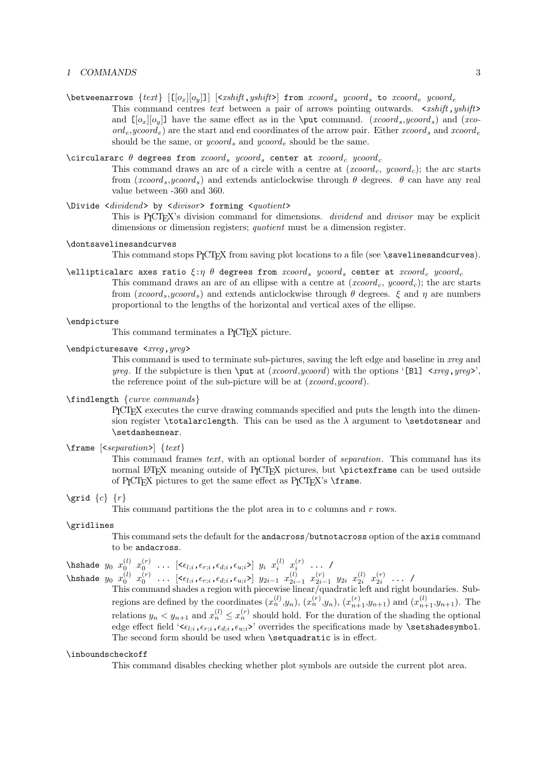$\boldsymbol{\lambda}$  \betweenarrows  $\{text[\lceil o_x \rceil | o_y \rceil] \mid \text{xshift},$  yshift> from xcoord, ycoord, to xcoord, ycoord, This command centres text between a pair of arrows pointing outwards.  $\langle x \rangle$ shift,  $y \rangle$ shift and  $\lceil o_x \rceil | o_y \rceil$  have the same effect as in the \put command. (xcoord,sycoord,s) and (xco- $\sigma d_e, y \text{coord}_e$  are the start and end coordinates of the arrow pair. Either  $x \text{coord}_s$  and  $x \text{coord}_e$ should be the same, or *ycoord*, and *ycoord* e should be the same.

## \circulararc  $\theta$  degrees from  $xcoord_s$  ycoord<sub>s</sub> center at  $xcoord_c$  ycoord<sub>c</sub>

This command draws an arc of a circle with a centre at  $(xcoord_c, ycoord_c)$ ; the arc starts from  $(xcoord_s, ycoord_s)$  and extends anticlockwise through  $\theta$  degrees.  $\theta$  can have any real value between -360 and 360.

## \Divide <dividend> by <divisor> forming <quotient>

This is P<sub>I</sub>CT<sub>E</sub>X's division command for dimensions. *dividend* and *divisor* may be explicit dimensions or dimension registers; quotient must be a dimension register.

#### \dontsavelinesandcurves

This command stops P<sub>I</sub>CI<sub>F</sub>X from saving plot locations to a file (see \savelinesandcurves).

\ellipticalarc axes ratio  $\xi:\eta \theta$  degrees from  $xcoord_s$  ycoord<sub>s</sub> center at  $xcoord_c$  ycoord<sub>c</sub> This command draws an arc of an ellipse with a centre at  $(xcoord_c, ycoord_c)$ ; the arc starts from ( $xcoord_s, ycoord_s$ ) and extends anticlockwise through  $\theta$  degrees.  $\xi$  and  $\eta$  are numbers proportional to the lengths of the horizontal and vertical axes of the ellipse.

#### \endpicture

This command terminates a P<sub>I</sub>CT<sub>F</sub>X picture.

## \endpicturesave <*xreq*, yreq>

This command is used to terminate sub-pictures, saving the left edge and baseline in xreg and yreg. If the subpicture is then  $\put$  at  $(xcoord, ycoord)$  with the options '[Bl]  $\lt xreg, yreg$ ', the reference point of the sub-picture will be at (*xcoord,ycoord*).

## \findlength {curve commands}

PICTEX executes the curve drawing commands specified and puts the length into the dimension register \totalarclength. This can be used as the  $\lambda$  argument to \setdotsnear and \setdashesnear.

## $\frac{\text{er} \times \text{ferm} \{text\}}{\text{ter}}$

This command frames *text*, with an optional border of *separation*. This command has its normal LATEX meaning outside of P<sub>ICTEX</sub> pictures, but \pictexframe can be used outside of P<sub>I</sub>CT<sub>E</sub>X pictures to get the same effect as  $P_1C1_FX$ 's  $\frac{1}{2}$  frame.

#### $\sqrt{c} \{r\}$

This command partitions the the plot area in to  $c$  columns and  $r$  rows.

#### \gridlines

This command sets the default for the andacross/butnotacross option of the axis command to be andacross.

## \hshade  $y_0$   $x_0^{(l)}$   $x_0^{(r)}$  ...  $[<\epsilon_{l;i},\epsilon_{r;i},\epsilon_{d;i},\epsilon_{u;i}>]$   $y_i$   $x_i^{(l)}$   $x_i^{(r)}$  ... / \hshade  $y_0$   $x_0^{(l)}$   $x_0^{(r)}$  ...  $[<\epsilon_{l;i}, \epsilon_{r;i}, \epsilon_{d;i}, \epsilon_{u;i}>]$   $y_{2i-1}$   $x_{2i-1}^{(l)}$   $x_{2i-1}^{(r)}$   $y_{2i}$   $x_{2i}^{(l)}$   $x_{2i}^{(r)}$  ... /

This command shades a region with piecewise linear/quadratic left and right boundaries. Subregions are defined by the coordinates  $(x_n^{(l)}, y_n)$ ,  $(x_n^{(r)}, y_n)$ ,  $(x_{n+1}^{(r)}, y_{n+1})$  and  $(x_{n+1}^{(l)}, y_{n+1})$ . The relations  $y_n < y_{n+1}$  and  $x_n^{(l)} \le x_n^{(r)}$  should hold. For the duration of the shading the optional edge effect field ' $\epsilon_{l;i},\epsilon_{r;i},\epsilon_{u;i}$ ' overrides the specifications made by **\setshadesymbol**. The second form should be used when **\setquadratic** is in effect.

#### \inboundscheckoff

This command disables checking whether plot symbols are outside the current plot area.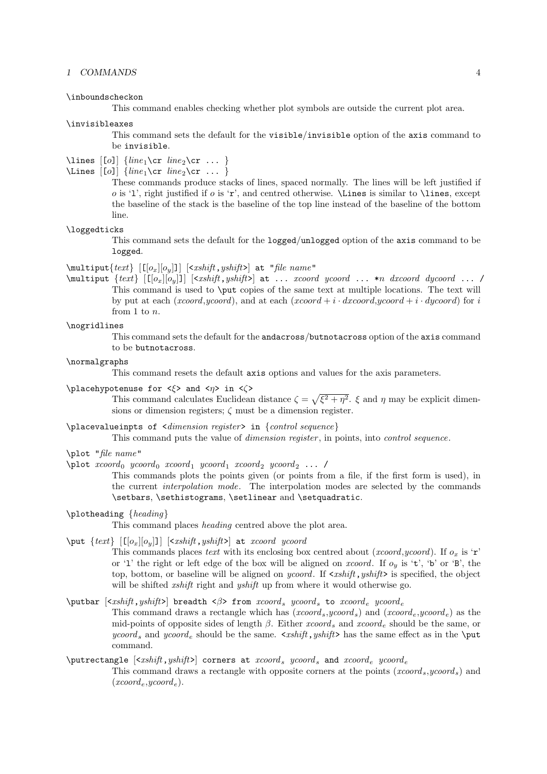#### \inboundscheckon

This command enables checking whether plot symbols are outside the current plot area.

#### \invisibleaxes

This command sets the default for the visible/invisible option of the axis command to be invisible.

## \lines  $\lceil [o] \rceil$  {line<sub>1</sub>\cr line<sub>2</sub>\cr ... }

\Lines  $\lceil [o] \rceil$  {line<sub>1</sub>\cr line<sub>2</sub>\cr ... }

These commands produce stacks of lines, spaced normally. The lines will be left justified if o is '1', right justified if o is 'r', and centred otherwise.  $\text{Lines}$  is similar to  $\text{lines}$ , except the baseline of the stack is the baseline of the top line instead of the baseline of the bottom line.

#### \loggedticks

This command sets the default for the logged/unlogged option of the axis command to be logged.

#### $\mathcal{H}$   $[0_x][o_y]]$   $\{xshift, yshift\}$  at "file name"

 $\mathcal{L}_{\text{multiput}}$   $\{text\llap{$t$} \left[\lceil o_x \rceil o_y \rceil \right] \leq xshift, yshift > at ... xcoord ycoord ... *n dxcoord dycoord ... /$ This command is used to \put copies of the same text at multiple locations. The text will by put at each (xcoord,ycoord), and at each (xcoord + i · dxcoord,ycoord + i · dycoord) for i from 1 to n.

## \nogridlines

This command sets the default for the andacross/butnotacross option of the axis command to be butnotacross.

## \normalgraphs

This command resets the default axis options and values for the axis parameters.

### \placehypotenuse for  $\langle \xi \rangle$  and  $\langle \eta \rangle$  in  $\langle \zeta \rangle$

This command calculates Euclidean distance  $\zeta = \sqrt{\xi^2 + \eta^2}$ .  $\xi$  and  $\eta$  may be explicit dimensions or dimension registers;  $\zeta$  must be a dimension register.

## \placevalueinpts of <dimension register> in {control sequence}

This command puts the value of *dimension register*, in points, into *control sequence*.

- \plot "file name"
- $\phi$  xcoord  $y$ coord  $x$ coord  $y$  ycoord  $y$  xcoord  $y$  ycoord  $y$  ... /

This commands plots the points given (or points from a file, if the first form is used), in the current interpolation mode. The interpolation modes are selected by the commands \setbars, \sethistograms, \setlinear and \setquadratic.

#### \plotheading {heading}

This command places heading centred above the plot area.

## $\{\text{text}\}\$  [[ $[o_x][o_y]$ ]] [<xshift, yshift>] at xcoord ycoord

This commands places text with its enclosing box centred about (xcoord,ycoord). If  $o_x$  is 'r' or '1' the right or left edge of the box will be aligned on *xcoord*. If  $o_y$  is 't', 'b' or 'B', the top, bottom, or baseline will be aligned on *ycoord*. If  $\langle x\text{shift}, y\text{shift}\rangle$  is specified, the object will be shifted *xshift* right and *yshift* up from where it would otherwise go.

## \putbar  $\left[ \langle xshift, yshift \rangle \right]$  breadth  $\langle \beta \rangle$  from  $xcoord_s$  ycoord, to  $xcoord_e$  ycoord,

This command draws a rectangle which has  $(xcoord_s, ycoord_s)$  and  $(xcoord_e, ycoord_e)$  as the mid-points of opposite sides of length  $\beta$ . Either  $xcoord_{\epsilon}$  and  $xcoord_{\epsilon}$  should be the same, or ycoord, and ycoord<sub>e</sub> should be the same.  $\langle x \rangle$  shift, yshift has the same effect as in the \put command.

## $\partial \text{L} = \langle x \, s \rangle$  (x shift, yshift) corners at  $x \, \text{coord}_s$  and  $x \, \text{coord}_e$  ycoord  $e$

This command draws a rectangle with opposite corners at the points  $(xcoord_s, ycoord_s)$  and  $(xcoord_e,ycoord_e).$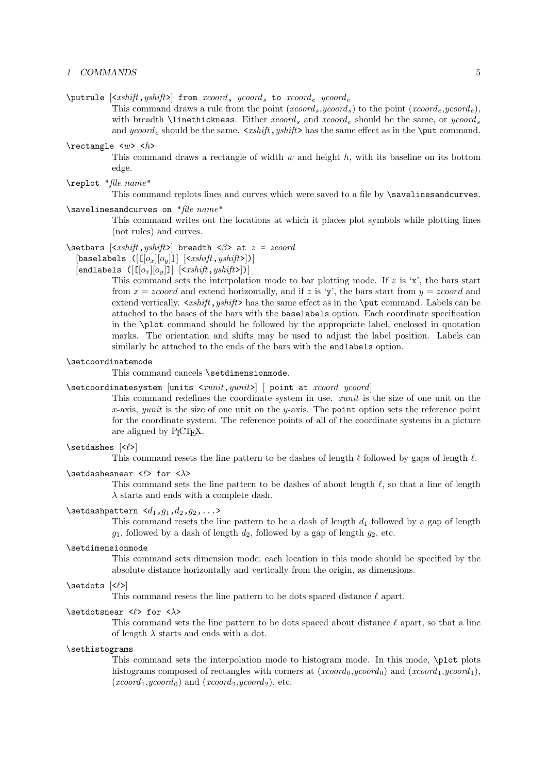$\partial$  \putrule  $\langle xshift, yshift \rangle$  from  $xcoord_s$  ycoord, to  $xcoord_e$  ycoord.

This command draws a rule from the point  $(xcoord_s, ycoord_s)$  to the point  $(xcoord_e, ycoord_e)$ , with breadth **\linethickness**. Either  $xcoord_s$  and  $xcoord_e$  should be the same, or  $ycoord_s$ and ycoord<sub>e</sub> should be the same.  $\langle x \rangle$  shift, yshift has the same effect as in the \put command.

## $\text{t}$   $\text{t}$ This command draws a rectangle of width  $w$  and height  $h$ , with its baseline on its bottom edge.

\replot "file name"

This command replots lines and curves which were saved to a file by \savelinesandcurves.

## \savelinesandcurves on "file name"

This command writes out the locations at which it places plot symbols while plotting lines (not rules) and curves.

\setbars  $\left[ \langle xshift, yshift \rangle \right]$  breadth  $\langle \beta \rangle$  at  $z = zcoord$ 

[baselabels  $([[[o_x][o_y]]] [*xshift*,*yshift*>])]$ 

#### [endlabels  $([[[o_x][o_y]]] []$ ]]

This command sets the interpolation mode to bar plotting mode. If  $z$  is 'x', the bars start from  $x = zcoord$  and extend horizontally, and if z is 'y', the bars start from  $y = zcoord$  and extend vertically.  $\epsilon$ *xshift, yshift* has the same effect as in the \put command. Labels can be attached to the bases of the bars with the baselabels option. Each coordinate specification in the \plot command should be followed by the appropriate label, enclosed in quotation marks. The orientation and shifts may be used to adjust the label position. Labels can similarly be attached to the ends of the bars with the endlabels option.

## \setcoordinatemode

This command cancels \setdimensionmode.

```
\setcoordinatesystem [units <xunit, yunit>] [ point at xcoord ycoord]
```
This command redefines the coordinate system in use. *xunit* is the size of one unit on the x-axis, yunit is the size of one unit on the y-axis. The point option sets the reference point for the coordinate system. The reference points of all of the coordinate systems in a picture are aligned by P<sub>I</sub>CT<sub>E</sub>X.

#### $\setminus$ setdashes  $\leq$

This command resets the line pattern to be dashes of length  $\ell$  followed by gaps of length  $\ell$ .

### \setdashesnear < $\ell$ > for < $\lambda$ >

This command sets the line pattern to be dashes of about length  $\ell$ , so that a line of length  $\lambda$  starts and ends with a complete dash.

## \setdashpattern  $\langle d_1, g_1, d_2, g_2, \ldots \rangle$

This command resets the line pattern to be a dash of length  $d_1$  followed by a gap of length  $g_1$ , followed by a dash of length  $d_2$ , followed by a gap of length  $g_2$ , etc.

#### \setdimensionmode

This command sets dimension mode; each location in this mode should be specified by the absolute distance horizontally and vertically from the origin, as dimensions.

#### $\setminus$ setdots  $\leq$

This command resets the line pattern to be dots spaced distance  $\ell$  apart.

#### \setdotsnear < $\ell$ > for < $\lambda$ >

This command sets the line pattern to be dots spaced about distance  $\ell$  apart, so that a line of length  $\lambda$  starts and ends with a dot.

#### \sethistograms

This command sets the interpolation mode to histogram mode. In this mode, \plot plots histograms composed of rectangles with corners at  $(xcoord_0, ycoord_0)$  and  $(xcoord_1, ycoord_1)$ ,  $(xcoord_1, ycoord_0)$  and  $(xcoord_2, ycoord_2)$ , etc.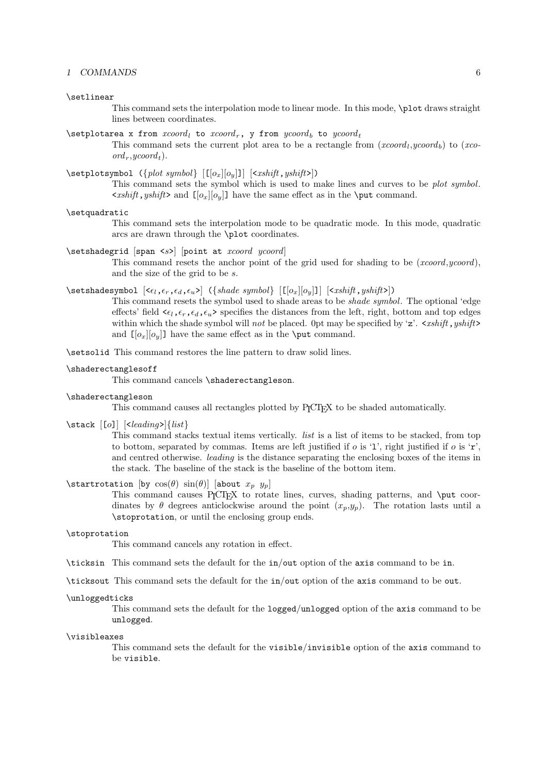#### \setlinear

This command sets the interpolation mode to linear mode. In this mode, \plot draws straight lines between coordinates.

#### \setplotarea x from  $xcoord_t$  to  $xcoord_r$ , y from  $ycoord_t$  to  $ycoord_t$

This command sets the current plot area to be a rectangle from  $(xcoord_l, ycoord_b)$  to  $(xco$  $ord_r, ycoord_t$ ).

### $\setminus$ setplotsymbol  $({plot symbol} [[o_x][o_y]] [{}])$

This command sets the symbol which is used to make lines and curves to be *plot symbol*.  $\langle xshift, yshift \rangle$  and  $[[o_x][o_y]]$  have the same effect as in the \put command.

#### \setquadratic

This command sets the interpolation mode to be quadratic mode. In this mode, quadratic arcs are drawn through the \plot coordinates.

\setshadegrid [span <s>] [point at xcoord ycoord]

This command resets the anchor point of the grid used for shading to be  $(xcoord, ycoord)$ , and the size of the grid to be s.

## $\setminus$ setshadesymbol  $\{<_{\epsilon_l, \epsilon_r, \epsilon_d, \epsilon_u>}$  ( $\{shade\ symbol\}$   $[[[o_x][o_y]]]$   $[\langle xshift, yshift \rangle]$ )

This command resets the symbol used to shade areas to be shade symbol. The optional 'edge effects' field  $\langle \epsilon_l, \epsilon_r, \epsilon_d, \epsilon_u \rangle$  specifies the distances from the left, right, bottom and top edges within which the shade symbol will not be placed. Opt may be specified by 'z'.  $\langle x \rangle$   $\langle x \rangle$   $\langle y \rangle$ and  $\left[\left[\sigma_x\right][\sigma_y]\right]$  have the same effect as in the **\put** command.

\setsolid This command restores the line pattern to draw solid lines.

#### \shaderectanglesoff

This command cancels \shaderectangleson.

### \shaderectangleson

This command causes all rectangles plotted by PICTEX to be shaded automatically.

 $\{\text{stack} [o] | \leq \text{leading} \}$ 

This command stacks textual items vertically. list is a list of items to be stacked, from top to bottom, separated by commas. Items are left justified if  $o$  is '1', right justified if  $o$  is 'r', and centred otherwise. leading is the distance separating the enclosing boxes of the items in the stack. The baseline of the stack is the baseline of the bottom item.

## \startrotation [by  $cos(\theta) sin(\theta)$ ] [about  $x_p$   $y_p$ ]

This command causes  $P_1C_TX$  to rotate lines, curves, shading patterns, and  $\put$  coordinates by  $\theta$  degrees anticlockwise around the point  $(x_p,y_p)$ . The rotation lasts until a \stoprotation, or until the enclosing group ends.

#### \stoprotation

This command cancels any rotation in effect.

\ticksin This command sets the default for the in/out option of the axis command to be in.

\ticksout This command sets the default for the in/out option of the axis command to be out.

#### \unloggedticks

This command sets the default for the logged/unlogged option of the axis command to be unlogged.

#### \visibleaxes

This command sets the default for the visible/invisible option of the axis command to be visible.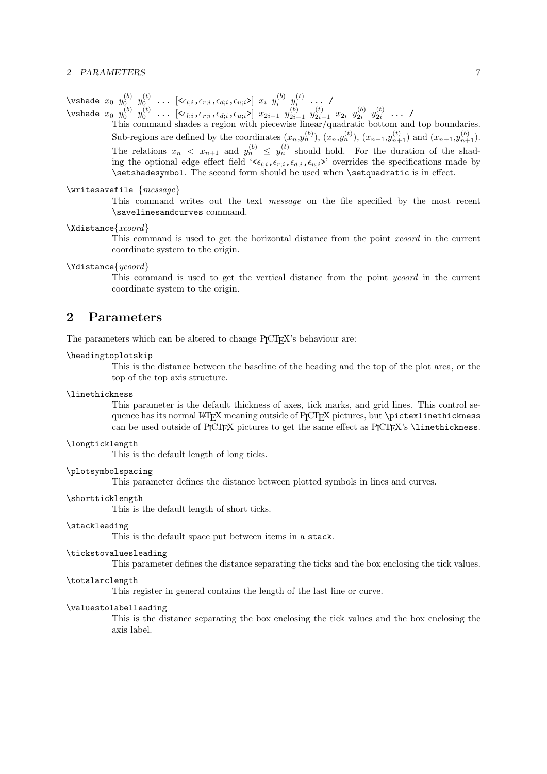\vshade  $x_0$   $y_0^{(b)}$   $y_0^{(t)}$  ...  $[<\epsilon_{l;i}, \epsilon_{r;i}, \epsilon_{d;i}, \epsilon_{u;i}>]$   $x_i$   $y_i^{(b)}$   $y_i^{(t)}$  ... / \vshade  $x_0$   $y_0^{(b)}$   $y_0^{(t)}$  ...  $[<\epsilon_{l;i}, \epsilon_{r;i}, \epsilon_{d;i}, \epsilon_{u;i}>]$   $x_{2i-1}$   $y_{2i-1}^{(b)}$   $y_{2i-1}^{(t)}$   $x_{2i}$   $y_{2i}^{(b)}$   $y_{2i}^{(t)}$  ... /

This command shades a region with piecewise linear/quadratic bottom and top boundaries. Sub-regions are defined by the coordinates  $(x_n, y_n^{(b)})$ ,  $(x_n, y_n^{(t)})$ ,  $(x_{n+1}, y_{n+1}^{(t)})$  and  $(x_{n+1}, y_{n+1}^{(b)})$ . The relations  $x_n \leq x_{n+1}$  and  $y_n^{(b)} \leq y_n^{(t)}$  should hold. For the duration of the shading the optional edge effect field ' $\epsilon_{i,i}, \epsilon_{r,i}, \epsilon_{d,i}, \epsilon_{u,i}$ ' overrides the specifications made by \setshadesymbol. The second form should be used when \setquadratic is in effect.

\writesavefile {message}

This command writes out the text message on the file specified by the most recent \savelinesandcurves command.

#### \Xdistance{xcoord}

This command is used to get the horizontal distance from the point xcoord in the current coordinate system to the origin.

## \Ydistance{ycoord}

This command is used to get the vertical distance from the point ycoord in the current coordinate system to the origin.

## 2 Parameters

The parameters which can be altered to change P<sub>I</sub>CT<sub>E</sub>X's behaviour are:

## \headingtoplotskip

This is the distance between the baseline of the heading and the top of the plot area, or the top of the top axis structure.

#### \linethickness

This parameter is the default thickness of axes, tick marks, and grid lines. This control sequence has its normal LATEX meaning outside of PICTEX pictures, but \pictexlinethickness can be used outside of PICTEX pictures to get the same effect as PICTEX's \linethickness.

#### \longticklength

This is the default length of long ticks.

#### \plotsymbolspacing

This parameter defines the distance between plotted symbols in lines and curves.

#### \shortticklength

This is the default length of short ticks.

#### \stackleading

This is the default space put between items in a stack.

#### \tickstovaluesleading

This parameter defines the distance separating the ticks and the box enclosing the tick values.

#### \totalarclength

This register in general contains the length of the last line or curve.

## \valuestolabelleading

This is the distance separating the box enclosing the tick values and the box enclosing the axis label.